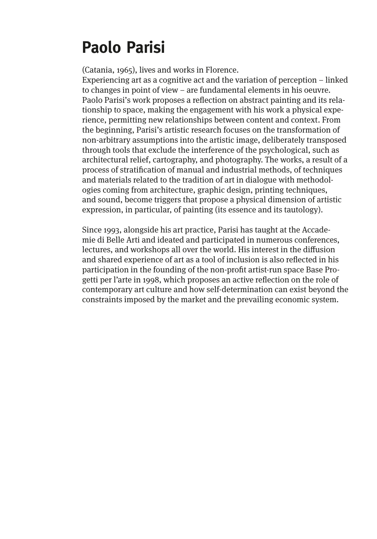# **Paolo Parisi**

(Catania, 1965), lives and works in Florence.

Experiencing art as a cognitive act and the variation of perception − linked to changes in point of view − are fundamental elements in his oeuvre. Paolo Parisi's work proposes a reflection on abstract painting and its relationship to space, making the engagement with his work a physical experience, permitting new relationships between content and context. From the beginning, Parisi's artistic research focuses on the transformation of non-arbitrary assumptions into the artistic image, deliberately transposed through tools that exclude the interference of the psychological, such as architectural relief, cartography, and photography. The works, a result of a process of stratification of manual and industrial methods, of techniques and materials related to the tradition of art in dialogue with methodologies coming from architecture, graphic design, printing techniques, and sound, become triggers that propose a physical dimension of artistic expression, in particular, of painting (its essence and its tautology).

Since 1993, alongside his art practice, Parisi has taught at the Accademie di Belle Arti and ideated and participated in numerous conferences, lectures, and workshops all over the world. His interest in the diffusion and shared experience of art as a tool of inclusion is also reflected in his participation in the founding of the non-profit artist-run space Base Progetti per l'arte in 1998, which proposes an active reflection on the role of contemporary art culture and how self-determination can exist beyond the constraints imposed by the market and the prevailing economic system.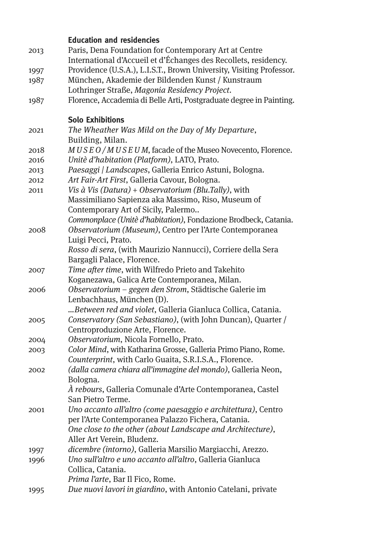## **Education and residencies**

| 2013 | Paris, Dena Foundation for Contemporary Art at Centre                    |
|------|--------------------------------------------------------------------------|
|      | International d'Accueil et d'Échanges des Recollets, residency.          |
| 1997 | Providence (U.S.A.), L.I.S.T., Brown University, Visiting Professor.     |
| 1987 | München, Akademie der Bildenden Kunst / Kunstraum                        |
|      | Lothringer Straße, Magonia Residency Project.                            |
| 1987 | Florence, Accademia di Belle Arti, Postgraduate degree in Painting.      |
|      | <b>Solo Exhibitions</b>                                                  |
| 2021 | The Wheather Was Mild on the Day of My Departure,                        |
|      | Building, Milan.                                                         |
| 2018 | MUSEO/MUSEUM, facade of the Museo Novecento, Florence.                   |
| 2016 | Unitè d'habitation (Platform), LATO, Prato.                              |
| 2013 | Paesaggi / Landscapes, Galleria Enrico Astuni, Bologna.                  |
| 2012 | Art Fair-Art First, Galleria Cavour, Bologna.                            |
| 2011 | Vis à Vis (Datura) + Observatorium (Blu.Tally), with                     |
|      | Massimiliano Sapienza aka Massimo, Riso, Museum of                       |
|      | Contemporary Art of Sicily, Palermo                                      |
|      | Commonplace (Unitè d'habitation), Fondazione Brodbeck, Catania.          |
| 2008 | Observatorium (Museum), Centro per l'Arte Contemporanea                  |
|      | Luigi Pecci, Prato.                                                      |
|      | Rosso di sera, (with Maurizio Nannucci), Corriere della Sera             |
|      | Bargagli Palace, Florence.                                               |
| 2007 | Time after time, with Wilfredo Prieto and Takehito                       |
|      | Koganezawa, Galica Arte Contemporanea, Milan.                            |
| 2006 | Observatorium - gegen den Strom, Städtische Galerie im                   |
|      | Lenbachhaus, München (D).                                                |
|      | Between red and violet, Galleria Gianluca Collica, Catania.              |
| 2005 | Conservatory (San Sebastiano), (with John Duncan), Quarter /             |
|      | Centroproduzione Arte, Florence.                                         |
| 2004 | Observatorium, Nicola Fornello, Prato.                                   |
| 2003 | Color Mind, with Katharina Grosse, Galleria Primo Piano, Rome.           |
|      | Counterprint, with Carlo Guaita, S.R.I.S.A., Florence.                   |
| 2002 | (dalla camera chiara all'immagine del mondo), Galleria Neon,<br>Bologna. |
|      | À rebours, Galleria Comunale d'Arte Contemporanea, Castel                |
|      | San Pietro Terme.                                                        |
| 2001 | Uno accanto all'altro (come paesaggio e architettura), Centro            |
|      | per l'Arte Contemporanea Palazzo Fichera, Catania.                       |
|      | One close to the other (about Landscape and Architecture),               |
|      | Aller Art Verein, Bludenz.                                               |
| 1997 | dicembre (intorno), Galleria Marsilio Margiacchi, Arezzo.                |
| 1996 | Uno sull'altro e uno accanto all'altro, Galleria Gianluca                |
|      | Collica, Catania.                                                        |
|      | Prima l'arte, Bar Il Fico, Rome.                                         |
| 1995 | Due nuovi lavori in giardino, with Antonio Catelani, private             |
|      |                                                                          |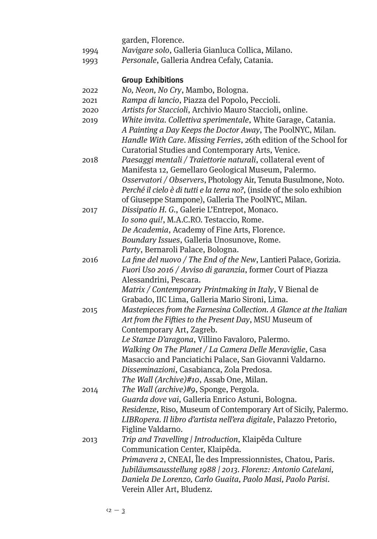| garden, Florence. |
|-------------------|
|-------------------|

- 1994 Navigare solo, Galleria Gianluca Collica, Milano.
- 1993 Personale, Galleria Andrea Cefaly, Catania.

#### **Group Exhibitions**

- 2022 No, Neon, No Cry, Mambo, Bologna.
- 2021 Rampa di lancio, Piazza del Popolo, Peccioli.
- 2020 Artists for Staccioli, Archivio Mauro Staccioli, online.
- 2019 White invita. Collettiva sperimentale, White Garage, Catania. A Painting a Day Keeps the Doctor Away, The PoolNYC, Milan.
	- Handle With Care. Missing Ferries, 26th edition of the School for Curatorial Studies and Contemporary Arts, Venice.
- 2018 Paesaggi mentali / Traiettorie naturali, collateral event of Manifesta 12, Gemellaro Geological Museum, Palermo. Osservatori / Observers, Photology Air, Tenuta Busulmone, Noto. Perché il cielo è di tutti e la terra no?, (inside of the solo exhibion
	- of Giuseppe Stampone), Galleria The PoolNYC, Milan.
- 2017 Dissipatio H. G., Galerie L'Entrepot, Monaco. Io sono qui!, M.A.C.RO. Testaccio, Rome. De Academia, Academy of Fine Arts, Florence. Boundary Issues, Galleria Unosunove, Rome. Party, Bernaroli Palace, Bologna.
- 2016 La fine del nuovo / The End of the New, Lantieri Palace, Gorizia. Fuori Uso 2016 / Avviso di garanzia, former Court of Piazza Alessandrini, Pescara.

Matrix / Contemporary Printmaking in Italy, V Bienal de Grabado, IIC Lima, Galleria Mario Sironi, Lima.

2015 Mastepieces from the Farnesina Collection. A Glance at the Italian Art from the Fifties to the Present Day, MSU Museum of Contemporary Art, Zagreb. Le Stanze D'aragona, Villino Favaloro, Palermo.

Walking On The Planet / La Camera Delle Meraviglie, Casa Masaccio and Panciatichi Palace, San Giovanni Valdarno. Disseminazioni, Casabianca, Zola Predosa.

The Wall (Archive)#10, Assab One, Milan.

2014 The Wall (archive)#9, Sponge, Pergola. Guarda dove vai, Galleria Enrico Astuni, Bologna. Residenze, Riso, Museum of Contemporary Art of Sicily, Palermo. LIBRopera. Il libro d'artista nell'era digitale, Palazzo Pretorio, Figline Valdarno.

2013 Trip and Travelling | Introduction, Klaipêda Culture Communication Center, Klaipêda. Primavera 2, CNEAI, Île des Impressionnistes, Chatou, Paris. Jubiläumsausstellung 1988 | 2013. Florenz: Antonio Catelani, Daniela De Lorenzo, Carlo Guaita, Paolo Masi, Paolo Parisi. Verein Aller Art, Bludenz.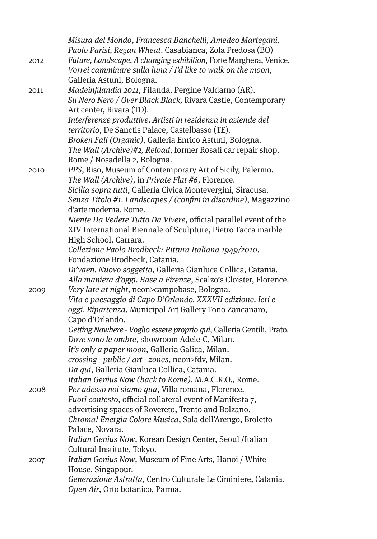|      | Misura del Mondo, Francesca Banchelli, Amedeo Martegani,              |
|------|-----------------------------------------------------------------------|
|      | Paolo Parisi, Regan Wheat. Casabianca, Zola Predosa (BO)              |
| 2012 | Future, Landscape. A changing exhibition, Forte Marghera, Venice.     |
|      | Vorrei camminare sulla luna / I'd like to walk on the moon,           |
|      | Galleria Astuni, Bologna.                                             |
| 2011 | Madeinfilandia 2011, Filanda, Pergine Valdarno (AR).                  |
|      | Su Nero Nero / Over Black Black, Rivara Castle, Contemporary          |
|      | Art center, Rivara (TO).                                              |
|      | Interferenze produttive. Artisti in residenza in aziende del          |
|      | territorio, De Sanctis Palace, Castelbasso (TE).                      |
|      | Broken Fall (Organic), Galleria Enrico Astuni, Bologna.               |
|      | The Wall (Archive)#2, Reload, former Rosati car repair shop,          |
|      | Rome / Nosadella 2, Bologna.                                          |
| 2010 | PPS, Riso, Museum of Contemporary Art of Sicily, Palermo.             |
|      | The Wall (Archive), in Private Flat #6, Florence.                     |
|      | Sicilia sopra tutti, Galleria Civica Montevergini, Siracusa.          |
|      | Senza Titolo #1. Landscapes / (confini in disordine), Magazzino       |
|      | d'arte moderna, Rome.                                                 |
|      | Niente Da Vedere Tutto Da Vivere, official parallel event of the      |
|      | XIV International Biennale of Sculpture, Pietro Tacca marble          |
|      | High School, Carrara.                                                 |
|      | Collezione Paolo Brodbeck: Pittura Italiana 1949/2010,                |
|      | Fondazione Brodbeck, Catania.                                         |
|      |                                                                       |
|      | Di'vaen. Nuovo soggetto, Galleria Gianluca Collica, Catania.          |
|      | Alla maniera d'oggi. Base a Firenze, Scalzo's Cloister, Florence.     |
| 2009 | Very late at night, neon>campobase, Bologna.                          |
|      | Vita e paesaggio di Capo D'Orlando. XXXVII edizione. Ieri e           |
|      | oggi. Ripartenza, Municipal Art Gallery Tono Zancanaro,               |
|      | Capo d'Orlando.                                                       |
|      | Getting Nowhere - Voglio essere proprio qui, Galleria Gentili, Prato. |
|      | Dove sono le ombre, showroom Adele-C, Milan.                          |
|      | It's only a paper moon, Galleria Galica, Milan.                       |
|      | crossing - public / art - zones, neon>fdv, Milan.                     |
|      | Da qui, Galleria Gianluca Collica, Catania.                           |
|      | Italian Genius Now (back to Rome), M.A.C.R.O., Rome.                  |
| 2008 | Per adesso noi siamo qua, Villa romana, Florence.                     |
|      | Fuori contesto, official collateral event of Manifesta 7,             |
|      | advertising spaces of Rovereto, Trento and Bolzano.                   |
|      | Chroma! Energia Colore Musica, Sala dell'Arengo, Broletto             |
|      | Palace, Novara.                                                       |
|      | Italian Genius Now, Korean Design Center, Seoul /Italian              |
|      | Cultural Institute, Tokyo.                                            |
| 2007 | Italian Genius Now, Museum of Fine Arts, Hanoi / White                |
|      | House, Singapour.                                                     |
|      | Generazione Astratta, Centro Culturale Le Ciminiere, Catania.         |
|      | Open Air, Orto botanico, Parma.                                       |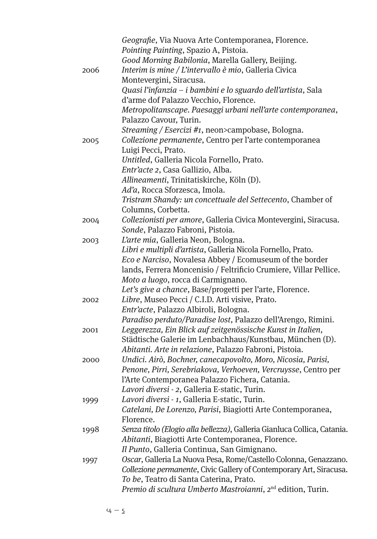|      | Geografie, Via Nuova Arte Contemporanea, Florence.                       |
|------|--------------------------------------------------------------------------|
|      | Pointing Painting, Spazio A, Pistoia.                                    |
|      | Good Morning Babilonia, Marella Gallery, Beijing.                        |
| 2006 | Interim is mine / L'intervallo è mio, Galleria Civica                    |
|      | Montevergini, Siracusa.                                                  |
|      | Quasi l'infanzia – i bambini e lo sguardo dell'artista, Sala             |
|      | d'arme dof Palazzo Vecchio, Florence.                                    |
|      | Metropolitanscape. Paesaggi urbani nell'arte contemporanea,              |
|      | Palazzo Cavour, Turin.                                                   |
|      | Streaming / Esercizi #1, neon>campobase, Bologna.                        |
| 2005 | Collezione permanente, Centro per l'arte contemporanea                   |
|      | Luigi Pecci, Prato.                                                      |
|      | Untitled, Galleria Nicola Fornello, Prato.                               |
|      | Entr'acte 2, Casa Gallizio, Alba.                                        |
|      | Allineamenti, Trinitatiskirche, Köln (D).                                |
|      | Ad'a, Rocca Sforzesca, Imola.                                            |
|      | Tristram Shandy: un concettuale del Settecento, Chamber of               |
|      | Columns, Corbetta.                                                       |
| 2004 | Collezionisti per amore, Galleria Civica Montevergini, Siracusa.         |
|      | Sonde, Palazzo Fabroni, Pistoia.                                         |
| 2003 | L'arte mia, Galleria Neon, Bologna.                                      |
|      | Libri e multipli d'artista, Galleria Nicola Fornello, Prato.             |
|      | <i>Eco e Narciso</i> , Novalesa Abbey / Ecomuseum of the border          |
|      | lands, Ferrera Moncenisio / Feltrificio Crumiere, Villar Pellice.        |
|      | Moto a luogo, rocca di Carmignano.                                       |
|      | Let's give a chance, Base/progetti per l'arte, Florence.                 |
| 2002 | Libre, Museo Pecci / C.I.D. Arti visive, Prato.                          |
|      | Entr'acte, Palazzo Albiroli, Bologna.                                    |
|      | Paradiso perduto/Paradise lost, Palazzo dell'Arengo, Rimini.             |
| 2001 | Leggerezza, Ein Blick auf zeitgenössische Kunst in Italien,              |
|      | Städtische Galerie im Lenbachhaus/Kunstbau, München (D).                 |
|      | Abitanti. Arte in relazione, Palazzo Fabroni, Pistoia.                   |
| 2000 | Undici. Airò, Bochner, canecapovolto, Moro, Nicosia, Parisi,             |
|      | Penone, Pirri, Serebriakova, Verhoeven, Vercruysse, Centro per           |
|      | l'Arte Contemporanea Palazzo Fichera, Catania.                           |
|      | Lavori diversi - 2, Galleria E-static, Turin.                            |
| 1999 | Lavori diversi - 1, Galleria E-static, Turin.                            |
|      | Catelani, De Lorenzo, Parisi, Biagiotti Arte Contemporanea,              |
|      | Florence.                                                                |
| 1998 | Senza titolo (Elogio alla bellezza), Galleria Gianluca Collica, Catania. |
|      | Abitanti, Biagiotti Arte Contemporanea, Florence.                        |
|      | Il Punto, Galleria Continua, San Gimignano.                              |
| 1997 | Oscar, Galleria La Nuova Pesa, Rome/Castello Colonna, Genazzano.         |
|      | Collezione permanente, Civic Gallery of Contemporary Art, Siracusa.      |
|      | To be, Teatro di Santa Caterina, Prato.                                  |
|      | Premio di scultura Umberto Mastroianni, 2 <sup>nd</sup> edition, Turin.  |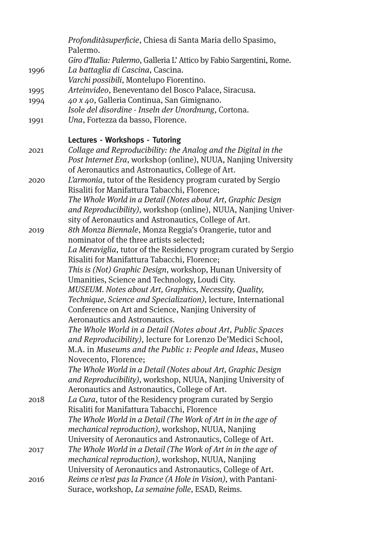|      | Profonditàsuperficie, Chiesa di Santa Maria dello Spasimo,<br>Palermo.                                                           |
|------|----------------------------------------------------------------------------------------------------------------------------------|
| 1996 | Giro d'Italia: Palermo, Galleria L' Attico by Fabio Sargentini, Rome.<br>La battaglia di Cascina, Cascina.                       |
|      | Varchi possibili, Montelupo Fiorentino.                                                                                          |
| 1995 | Arteinvideo, Beneventano del Bosco Palace, Siracusa.                                                                             |
| 1994 | 40 x 40, Galleria Continua, San Gimignano.                                                                                       |
|      | Isole del disordine - Inseln der Unordnung, Cortona.                                                                             |
| 1991 | Una, Fortezza da basso, Florence.                                                                                                |
|      | Lectures - Workshops - Tutoring                                                                                                  |
| 2021 | Collage and Reproducibility: the Analog and the Digital in the<br>Post Internet Era, workshop (online), NUUA, Nanjing University |
|      | of Aeronautics and Astronautics, College of Art.<br>L'armonia, tutor of the Residency program curated by Sergio                  |
| 2020 | Risaliti for Manifattura Tabacchi, Florence;                                                                                     |
|      | The Whole World in a Detail (Notes about Art, Graphic Design                                                                     |
|      | and Reproducibility), workshop (online), NUUA, Nanjing Univer-                                                                   |
|      | sity of Aeronautics and Astronautics, College of Art.<br>8th Monza Biennale, Monza Reggia's Orangerie, tutor and                 |
| 2019 | nominator of the three artists selected;                                                                                         |
|      | La Meraviglia, tutor of the Residency program curated by Sergio                                                                  |
|      | Risaliti for Manifattura Tabacchi, Florence;                                                                                     |
|      | This is (Not) Graphic Design, workshop, Hunan University of                                                                      |
|      | Umanities, Science and Technology, Loudi City.                                                                                   |
|      | MUSEUM. Notes about Art, Graphics, Necessity, Quality,                                                                           |
|      | Technique, Science and Specialization), lecture, International                                                                   |
|      | Conference on Art and Science, Nanjing University of                                                                             |
|      | Aeronautics and Astronautics.                                                                                                    |
|      | The Whole World in a Detail (Notes about Art, Public Spaces                                                                      |
|      | and Reproducibility), lecture for Lorenzo De'Medici School,                                                                      |
|      | M.A. in Museums and the Public 1: People and Ideas, Museo                                                                        |
|      | Novecento, Florence;                                                                                                             |
|      | The Whole World in a Detail (Notes about Art, Graphic Design                                                                     |
|      | and Reproducibility), workshop, NUUA, Nanjing University of                                                                      |
|      | Aeronautics and Astronautics, College of Art.                                                                                    |
| 2018 | La Cura, tutor of the Residency program curated by Sergio                                                                        |
|      | Risaliti for Manifattura Tabacchi, Florence                                                                                      |
|      | The Whole World in a Detail (The Work of Art in in the age of                                                                    |
|      | mechanical reproduction), workshop, NUUA, Nanjing                                                                                |
|      | University of Aeronautics and Astronautics, College of Art.                                                                      |
| 2017 | The Whole World in a Detail (The Work of Art in in the age of                                                                    |
|      | mechanical reproduction), workshop, NUUA, Nanjing                                                                                |
|      | University of Aeronautics and Astronautics, College of Art.                                                                      |
| 2016 | Reims ce n'est pas la France (A Hole in Vision), with Pantani-<br>Surace, workshop, La semaine folle, ESAD, Reims.               |
|      |                                                                                                                                  |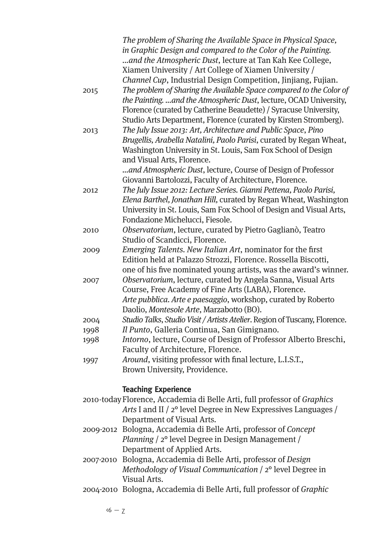| 2015 | The problem of Sharing the Available Space in Physical Space,<br>in Graphic Design and compared to the Color of the Painting.<br>and the Atmospheric Dust, lecture at Tan Kah Kee College,<br>Xiamen University / Art College of Xiamen University /<br>Channel Cup, Industrial Design Competition, Jinjiang, Fujian.<br>The problem of Sharing the Available Space compared to the Color of<br>the Painting.  and the Atmospheric Dust, lecture, OCAD University,<br>Florence (curated by Catherine Beaudette) / Syracuse University,<br>Studio Arts Department, Florence (curated by Kirsten Stromberg). |
|------|------------------------------------------------------------------------------------------------------------------------------------------------------------------------------------------------------------------------------------------------------------------------------------------------------------------------------------------------------------------------------------------------------------------------------------------------------------------------------------------------------------------------------------------------------------------------------------------------------------|
| 2013 | The July Issue 2013: Art, Architecture and Public Space, Pino<br>Brugellis, Arabella Natalini, Paolo Parisi, curated by Regan Wheat,<br>Washington University in St. Louis, Sam Fox School of Design<br>and Visual Arts, Florence.                                                                                                                                                                                                                                                                                                                                                                         |
|      | and Atmospheric Dust, lecture, Course of Design of Professor                                                                                                                                                                                                                                                                                                                                                                                                                                                                                                                                               |
| 2012 | Giovanni Bartolozzi, Faculty of Architecture, Florence.<br>The July Issue 2012: Lecture Series. Gianni Pettena, Paolo Parisi,<br>Elena Barthel, Jonathan Hill, curated by Regan Wheat, Washington<br>University in St. Louis, Sam Fox School of Design and Visual Arts,<br>Fondazione Michelucci, Fiesole.                                                                                                                                                                                                                                                                                                 |
| 2010 | Observatorium, lecture, curated by Pietro Gaglianò, Teatro                                                                                                                                                                                                                                                                                                                                                                                                                                                                                                                                                 |
|      | Studio of Scandicci, Florence.                                                                                                                                                                                                                                                                                                                                                                                                                                                                                                                                                                             |
| 2009 | Emerging Talents. New Italian Art, nominator for the first<br>Edition held at Palazzo Strozzi, Florence. Rossella Biscotti,                                                                                                                                                                                                                                                                                                                                                                                                                                                                                |
| 2007 | one of his five nominated young artists, was the award's winner.<br>Observatorium, lecture, curated by Angela Sanna, Visual Arts<br>Course, Free Academy of Fine Arts (LABA), Florence.<br>Arte pubblica. Arte e paesaggio, workshop, curated by Roberto                                                                                                                                                                                                                                                                                                                                                   |
|      | Daolio, Montesole Arte, Marzabotto (BO).                                                                                                                                                                                                                                                                                                                                                                                                                                                                                                                                                                   |
| 2004 | Studio Talks, Studio Visit / Artists Atelier. Region of Tuscany, Florence.                                                                                                                                                                                                                                                                                                                                                                                                                                                                                                                                 |
| 1998 | Il Punto, Galleria Continua, San Gimignano.                                                                                                                                                                                                                                                                                                                                                                                                                                                                                                                                                                |
| 1998 | Intorno, lecture, Course of Design of Professor Alberto Breschi,<br>Faculty of Architecture, Florence.                                                                                                                                                                                                                                                                                                                                                                                                                                                                                                     |
| 1997 | Around, visiting professor with final lecture, L.I.S.T.,<br>Brown University, Providence.                                                                                                                                                                                                                                                                                                                                                                                                                                                                                                                  |
|      |                                                                                                                                                                                                                                                                                                                                                                                                                                                                                                                                                                                                            |
|      | <b>Teaching Experience</b>                                                                                                                                                                                                                                                                                                                                                                                                                                                                                                                                                                                 |
|      | 2010-today Florence, Accademia di Belle Arti, full professor of Graphics                                                                                                                                                                                                                                                                                                                                                                                                                                                                                                                                   |
|      | Arts I and II / 2° level Degree in New Expressives Languages /<br>Department of Visual Arts.                                                                                                                                                                                                                                                                                                                                                                                                                                                                                                               |
|      | 2009-2012 Bologna, Accademia di Belle Arti, professor of Concept                                                                                                                                                                                                                                                                                                                                                                                                                                                                                                                                           |
|      | Planning / 2° level Degree in Design Management /                                                                                                                                                                                                                                                                                                                                                                                                                                                                                                                                                          |
|      | Department of Applied Arts.                                                                                                                                                                                                                                                                                                                                                                                                                                                                                                                                                                                |

- 2007-2010 Bologna, Accademia di Belle Arti, professor of Design Methodology of Visual Communication / 2° level Degree in Visual Arts.
- 2004-2010 Bologna, Accademia di Belle Arti, full professor of Graphic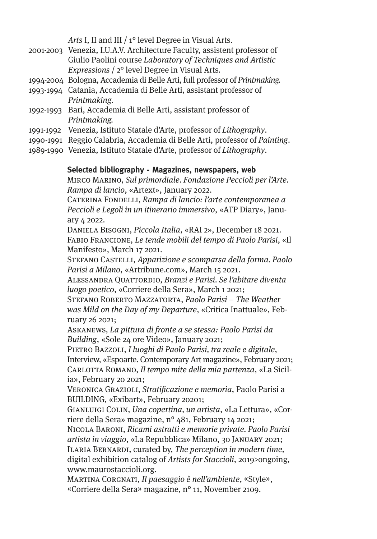Arts I, II and III / 1° level Degree in Visual Arts.

- 2001-2003 Venezia, I.U.A.V. Architecture Faculty, assistent professor of Giulio Paolini course Laboratory of Techniques and Artistic Expressions / 2° level Degree in Visual Arts.
- 1994-2004 Bologna, Accademia di Belle Arti, full professor of Printmaking.
- 1993-1994 Catania, Accademia di Belle Arti, assistant professor of Printmaking.
- 1992-1993 Bari, Accademia di Belle Arti, assistant professor of Printmaking.
- 1991-1992 Venezia, Istituto Statale d'Arte, professor of Lithography.
- 1990-1991 Reggio Calabria, Accademia di Belle Arti, professor of Painting.
- 1989-1990 Venezia, Istituto Statale d'Arte, professor of Lithography.

#### **Selected bibliography - Magazines, newspapers, web**

Mirco Marino, Sul primordiale. Fondazione Peccioli per l'Arte. Rampa di lancio, «Artext», January 2022.

CATERINA FONDELLI, Rampa di lancio: l'arte contemporanea a Peccioli e Legoli in un itinerario immersivo, «ATP Diary», January 4 2022.

Daniela Bisogni, Piccola Italia, «RAI 2», December 18 2021. Fabio Francione, Le tende mobili del tempo di Paolo Parisi, «Il Manifesto», March 17 2021.

Stefano Castelli, Apparizione e scomparsa della forma. Paolo Parisi a Milano, «Artribune.com», March 15 2021.

ALESSANDRA QUATTORDIO, Branzi e Parisi. Se l'abitare diventa luogo poetico, «Corriere della Sera», March 1 2021;

STEFANO ROBERTO MAZZATORTA, Paolo Parisi – The Weather was Mild on the Day of my Departure, «Critica Inattuale», February 26 2021;

Askanews, La pittura di fronte a se stessa: Paolo Parisi da Building, «Sole 24 ore Video», January 2021;

Pietro Bazzoli, I luoghi di Paolo Parisi, tra reale e digitale, Interview, «Espoarte. Contemporary Art magazine», February 2021; CARLOTTA ROMANO, Il tempo mite della mia partenza, «La Sicilia», February 20 2021;

VERONICA GRAZIOLI, Stratificazione e memoria, Paolo Parisi a BUILDING, «Exibart», February 20201;

Gianluigi Colin, Una copertina, un artista, «La Lettura», «Corriere della Sera» magazine, n° 481, February 14 2021;

Nicola Baroni, Ricami astratti e memorie private. Paolo Parisi artista in viaggio, «La Repubblica» Milano, 30 January 2021; Ilaria Bernardi, curated by, The perception in modern time,

digital exhibition catalog of Artists for Staccioli, 2019>ongoing, www.maurostaccioli.org.

Martina Corgnati, Il paesaggio è nell'ambiente, «Style», «Corriere della Sera» magazine, n° 11, November 2109.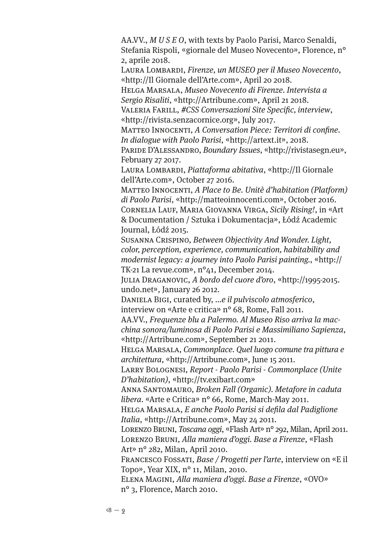AA.VV., *M U S E O*, with texts by Paolo Parisi, Marco Senaldi, Stefania Rispoli, «giornale del Museo Novecento», Florence, n° 2, aprile 2018.

Laura Lombardi, Firenze, un MUSEO per il Museo Novecento, «http://Il Giornale dell'Arte.com», April 20 2018.

Helga Marsala, Museo Novecento di Firenze. Intervista a Sergio Risaliti, «http://Artribune.com», April 21 2018.

Valeria Farill, #CSS Conversazioni Site Specific, interview, «http://rivista.senzacornice.org», July 2017.

Matteo Innocenti, A Conversation Piece: Territori di confine. In dialogue with Paolo Parisi, «http://artext.it», 2018.

Paride D'Alessandro, Boundary Issues, «http://rivistasegn.eu», February 27 2017.

Laura Lombardi, Piattaforma abitativa, «http://Il Giornale dell'Arte.com», October 27 2016.

MATTEO INNOCENTI, A Place to Be. Unitè d'habitation (Platform) di Paolo Parisi, «http://matteoinnocenti.com», October 2016. Cornelia Lauf, Maria Giovanna Virga, Sicily Rising!, in «Art & Documentation / Sztuka i Dokumentacja», Łódź Academic Journal, Łódź 2015.

Susanna Crispino, Between Objectivity And Wonder. Light, color, perception, experience, communication, habitability and modernist legacy: a journey into Paolo Parisi painting., «http:// TK-21 La revue.com», n°41, December 2014.

Julia Draganovic, A bordo del cuore d'oro, «http://1995-2015. undo.net», January 26 2012.

Daniela Bigi, curated by, ...e il pulviscolo atmosferico, interview on «Arte e critica» n° 68, Rome, Fall 2011.

AA.VV., Frequenze blu a Palermo. Al Museo Riso arriva la macchina sonora/luminosa di Paolo Parisi e Massimiliano Sapienza, «http://Artribune.com», September 21 2011.

Helga Marsala, Commonplace. Quel luogo comune tra pittura e architettura, «http://Artribune.com», June 15 2011.

Larry Bolognesi, Report - Paolo Parisi - Commonplace (Unite D'habitation), «http://tv.exibart.com»

Anna Santomauro, Broken Fall (Organic). Metafore in caduta libera. «Arte e Critica» n° 66, Rome, March-May 2011.

Helga Marsala, E anche Paolo Parisi si defila dal Padiglione Italia, «http://Artribune.com», May 24 2011.

Lorenzo Bruni, Toscana oggi, «Flash Art» n° 292, Milan, April 2011. Lorenzo Bruni, Alla maniera d'oggi. Base a Firenze, «Flash Art» n° 282, Milan, April 2010.

Francesco Fossati, Base / Progetti per l'arte, interview on «E il Topo», Year XIX, n° 11, Milan, 2010.

Elena Magini, Alla maniera d'oggi. Base a Firenze, «OVO» n° 3, Florence, March 2010.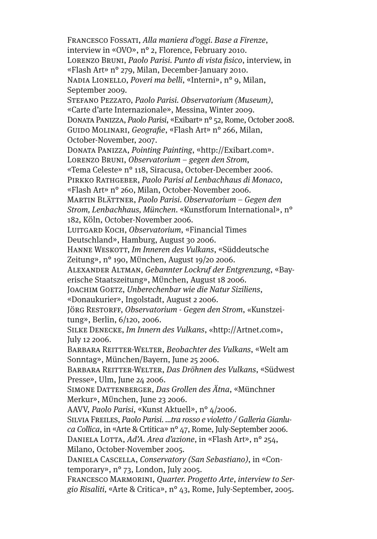Francesco Fossati, Alla maniera d'oggi. Base a Firenze, interview in «OVO», n° 2, Florence, February 2010. Lorenzo Bruni, Paolo Parisi. Punto di vista fisico, interview, in «Flash Art» n° 279, Milan, December-January 2010. NADIA LIONELLO, Poveri ma belli, «Interni», nº 9, Milan, September 2009. STEFANO PEZZATO, Paolo Parisi. Observatorium (Museum), «Carte d'arte Internazionale», Messina, Winter 2009. Donata Panizza, Paolo Parisi, «Exibart» n° 52, Rome, October 2008. GUIDO MOLINARI, Geografie, «Flash Art» nº 266, Milan, October-November, 2007. Donata Panizza, Pointing Painting, «http://Exibart.com». Lorenzo Bruni, Observatorium – gegen den Strom, «Tema Celeste» n° 118, Siracusa, October-December 2006. Pirkko Rathgeber, Paolo Parisi al Lenbachhaus di Monaco, «Flash Art» n° 260, Milan, October-November 2006. Martin Blättner, Paolo Parisi. Observatorium – Gegen den Strom, Lenbachhaus, München. «Kunstforum International», n° 182, KÖln, October-November 2006. LUITGARD KOCH, Observatorium, «Financial Times Deutschland», Hamburg, August 30 2006. HANNE WESKOTT, Im Inneren des Vulkans, «Süddeutsche Zeitung», n° 190, MÜnchen, August 19/20 2006. Alexander Altman, Gebannter Lockruf der Entgrenzung, «Bayerische Staatszeitung», MÜnchen, August 18 2006. JOACHIM GOETZ, Unberechenbar wie die Natur Siziliens, «Donaukurier», Ingolstadt, August 2 2006. JÖRG RESTORFF, Observatorium - Gegen den Strom, «Kunstzeitung», Berlin, 6/120, 2006. Silke Denecke, Im Innern des Vulkans, «http://Artnet.com», July 12 2006. BARBARA REITTER-WELTER, Beobachter des Vulkans, «Welt am Sonntag», München/Bayern, June 25 2006. BARBARA REITTER-WELTER, Das Dröhnen des Vulkans, «Südwest Presse», Ulm, June 24 2006. SIMONE DATTENBERGER, Das Grollen des Ätna, «Münchner Merkur», MÜnchen, June 23 2006. AAVV, Paolo Parisi, «Kunst Aktuell», n° 4/2006. Silvia Freiles, Paolo Parisi. ...tra rosso e violetto / Galleria Gianluca Collica, in «Arte & Crtitica» n° 47, Rome, July-September 2006. DANIELA LOTTA, Ad'A. Area d'azione, in «Flash Art», nº 254, Milano, October-November 2005. Daniela Cascella, Conservatory (San Sebastiano), in «Contemporary», n° 73, London, July 2005. Francesco Marmorini, Quarter. Progetto Arte, interview to Sergio Risaliti, «Arte & Critica», n° 43, Rome, July-September, 2005.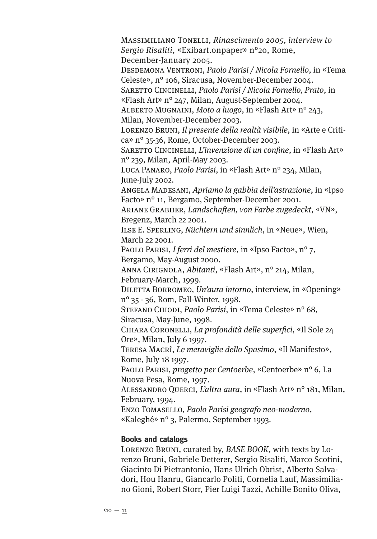Massimiliano Tonelli, Rinascimento 2005, interview to Sergio Risaliti, «Exibart.onpaper» n°20, Rome, December-January 2005.

DESDEMONA VENTRONI, Paolo Parisi / Nicola Fornello, in «Tema Celeste», n° 106, Siracusa, November-December 2004.

SARETTO CINCINELLI, Paolo Parisi / Nicola Fornello, Prato, in «Flash Art» n° 247, Milan, August-September 2004.

Alberto Mugnaini, Moto a luogo, in «Flash Art» n° 243, Milan, November-December 2003.

Lorenzo Bruni, Il presente della realtà visibile, in «Arte e Critica» n° 35-36, Rome, October-December 2003.

SARETTO CINCINELLI, L'invenzione di un confine, in «Flash Art» n° 239, Milan, April-May 2003.

Luca Panaro, Paolo Parisi, in «Flash Art» n° 234, Milan, June-July 2002.

Angela Madesani, Apriamo la gabbia dell'astrazione, in «Ipso Facto» n° 11, Bergamo, September-December 2001.

Ariane Grabher, Landschaften, von Farbe zugedeckt, «VN», Bregenz, March 22 2001.

Ilse E. Sperling, Nüchtern und sinnlich, in «Neue», Wien, March 22 2001.

Paolo Parisi, I ferri del mestiere, in «Ipso Facto», n° 7, Bergamo, May-August 2000.

Anna Cirignola, Abitanti, «Flash Art», n° 214, Milan, February-March, 1999.

DILETTA BORROMEO, Un'aura intorno, interview, in «Opening» n° 35 - 36, Rom, Fall-Winter, 1998.

STEFANO CHIODI, Paolo Parisi, in «Tema Celeste» nº 68, Siracusa, May-June, 1998.

Chiara Coronelli, La profondità delle superfici, «Il Sole 24 Ore», Milan, July 6 1997.

Teresa Macrì, Le meraviglie dello Spasimo, «Il Manifesto», Rome, July 18 1997.

Paolo Parisi, progetto per Centoerbe, «Centoerbe» n° 6, La Nuova Pesa, Rome, 1997.

Alessandro Querci, L'altra aura, in «Flash Art» n° 181, Milan, February, 1994.

Enzo Tomasello, Paolo Parisi geografo neo-moderno, «Kaleghé» n° 3, Palermo, September 1993.

### **Books and catalogs**

Lorenzo Bruni, curated by, BASE BOOK, with texts by Lorenzo Bruni, Gabriele Detterer, Sergio Risaliti, Marco Scotini, Giacinto Di Pietrantonio, Hans Ulrich Obrist, Alberto Salvadori, Hou Hanru, Giancarlo Politi, Cornelia Lauf, Massimiliano Gioni, Robert Storr, Pier Luigi Tazzi, Achille Bonito Oliva,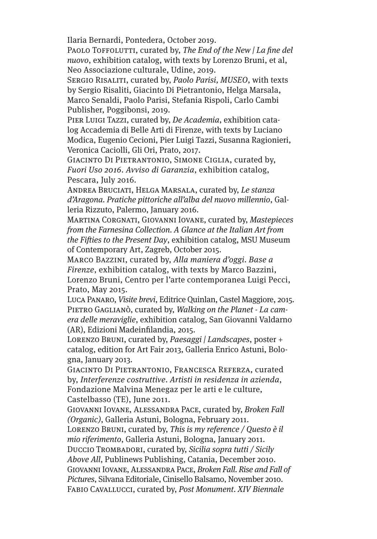Ilaria Bernardi, Pontedera, October 2019.

PAOLO TOFFOLUTTI, curated by, The End of the New | La fine del nuovo, exhibition catalog, with texts by Lorenzo Bruni, et al, Neo Associazione culturale, Udine, 2019.

SERGIO RISALITI, curated by, Paolo Parisi, MUSEO, with texts by Sergio Risaliti, Giacinto Di Pietrantonio, Helga Marsala, Marco Senaldi, Paolo Parisi, Stefania Rispoli, Carlo Cambi Publisher, Poggibonsi, 2019.

PIER LUIGI TAZZI, curated by, De Academia, exhibition catalog Accademia di Belle Arti di Firenze, with texts by Luciano Modica, Eugenio Cecioni, Pier Luigi Tazzi, Susanna Ragionieri, Veronica Caciolli, Gli Ori, Prato, 2017.

Giacinto Di Pietrantonio, Simone Ciglia, curated by, Fuori Uso 2016. Avviso di Garanzia, exhibition catalog, Pescara, July 2016.

Andrea Bruciati, Helga Marsala, curated by, Le stanza d'Aragona. Pratiche pittoriche all'alba del nuovo millennio, Galleria Rizzuto, Palermo, January 2016.

Martina Corgnati, Giovanni Iovane, curated by, Mastepieces from the Farnesina Collection. A Glance at the Italian Art from the Fifties to the Present Day, exhibition catalog, MSU Museum of Contemporary Art, Zagreb, October 2015.

Marco Bazzini, curated by, Alla maniera d'oggi. Base a Firenze, exhibition catalog, with texts by Marco Bazzini, Lorenzo Bruni, Centro per l'arte contemporanea Luigi Pecci, Prato, May 2015.

Luca Panaro, Visite brevi, Editrice Quinlan, Castel Maggiore, 2015. PIETRO GAGLIANÒ, curated by, Walking on the Planet - La camera delle meraviglie, exhibition catalog, San Giovanni Valdarno (AR), Edizioni Madeinfilandia, 2015.

LORENZO BRUNI, curated by, Paesaggi | Landscapes, poster + catalog, edition for Art Fair 2013, Galleria Enrico Astuni, Bologna, January 2013.

Giacinto Di Pietrantonio, Francesca Referza, curated by, Interferenze costruttive. Artisti in residenza in azienda, Fondazione Malvina Menegaz per le arti e le culture, Castelbasso (TE), June 2011.

Giovanni Iovane, Alessandra Pace, curated by, Broken Fall (Organic), Galleria Astuni, Bologna, February 2011.

LORENZO BRUNI, curated by, This is my reference / Questo è il mio riferimento, Galleria Astuni, Bologna, January 2011. Duccio Trombadori, curated by, Sicilia sopra tutti / Sicily Above All, Publinews Publishing, Catania, December 2010. Giovanni Iovane, Alessandra Pace, Broken Fall. Rise and Fall of Pictures, Silvana Editoriale, Cinisello Balsamo, November 2010. Fabio Cavallucci, curated by, Post Monument. XIV Biennale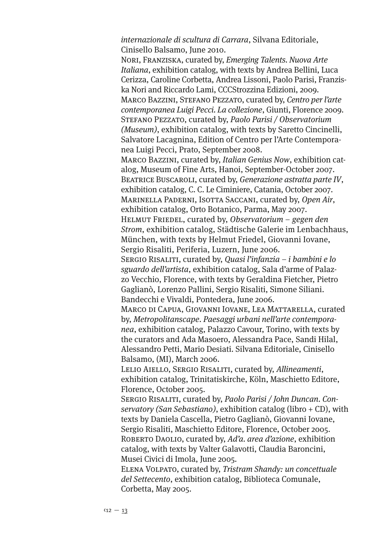internazionale di scultura di Carrara, Silvana Editoriale, Cinisello Balsamo, June 2010.

Nori, Franziska, curated by, Emerging Talents. Nuova Arte Italiana, exhibition catalog, with texts by Andrea Bellini, Luca Cerizza, Caroline Corbetta, Andrea Lissoni, Paolo Parisi, Franziska Nori and Riccardo Lami, CCCStrozzina Edizioni, 2009. MARCO BAZZINI, STEFANO PEZZATO, curated by, Centro per l'arte contemporanea Luigi Pecci. La collezione, Giunti, Florence 2009. STEFANO PEZZATO, curated by, Paolo Parisi / Observatorium (Museum), exhibition catalog, with texts by Saretto Cincinelli, Salvatore Lacagnina, Edition of Centro per l'Arte Contemporanea Luigi Pecci, Prato, September 2008.

Marco Bazzini, curated by, Italian Genius Now, exhibition catalog, Museum of Fine Arts, Hanoi, September-October 2007. BEATRICE BUSCAROLI, curated by, Generazione astratta parte IV, exhibition catalog, C. C. Le Ciminiere, Catania, October 2007. Marinella Paderni, Isotta Saccani, curated by, Open Air, exhibition catalog, Orto Botanico, Parma, May 2007.

HELMUT FRIEDEL, curated by, Observatorium – gegen den Strom, exhibition catalog, Städtische Galerie im Lenbachhaus, München, with texts by Helmut Friedel, Giovanni Iovane, Sergio Risaliti, Periferia, Luzern, June 2006.

SERGIO RISALITI, curated by, Quasi l'infanzia – i bambini e lo sguardo dell'artista, exhibition catalog, Sala d'arme of Palazzo Vecchio, Florence, with texts by Geraldina Fietcher, Pietro Gaglianò, Lorenzo Pallini, Sergio Risaliti, Simone Siliani. Bandecchi e Vivaldi, Pontedera, June 2006.

Marco di Capua, Giovanni Iovane, Lea Mattarella, curated by, Metropolitanscape. Paesaggi urbani nell'arte contemporanea, exhibition catalog, Palazzo Cavour, Torino, with texts by the curators and Ada Masoero, Alessandra Pace, Sandi Hilal, Alessandro Petti, Mario Desiati. Silvana Editoriale, Cinisello Balsamo, (MI), March 2006.

LELIO AIELLO, SERGIO RISALITI, curated by, Allineamenti, exhibition catalog, Trinitatiskirche, Köln, Maschietto Editore, Florence, October 2005.

SERGIO RISALITI, curated by, Paolo Parisi / John Duncan. Conservatory (San Sebastiano), exhibition catalog (libro + CD), with texts by Daniela Cascella, Pietro Gaglianò, Giovanni Iovane, Sergio Risaliti, Maschietto Editore, Florence, October 2005. ROBERTO DAOLIO, curated by, Ad'a. area d'azione, exhibition catalog, with texts by Valter Galavotti, Claudia Baroncini, Musei Civici di Imola, June 2005.

Elena Volpato, curated by, Tristram Shandy: un concettuale del Settecento, exhibition catalog, Biblioteca Comunale, Corbetta, May 2005.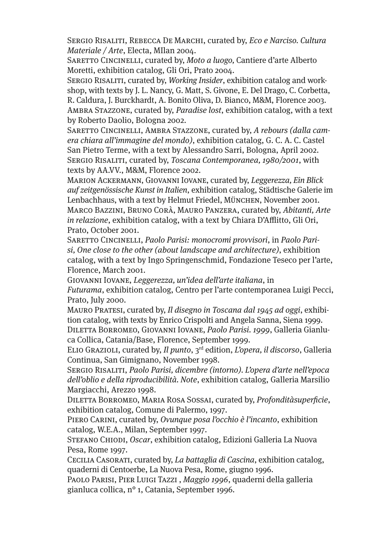SERGIO RISALITI, REBECCA DE MARCHI, curated by, Eco e Narciso. Cultura Materiale / Arte, Electa, MIlan 2004.

SARETTO CINCINELLI, curated by, Moto a luogo, Cantiere d'arte Alberto Moretti, exhibition catalog, Gli Ori, Prato 2004.

SERGIO RISALITI, curated by, Working Insider, exhibition catalog and workshop, with texts by J. L. Nancy, G. Matt, S. Givone, E. Del Drago, C. Corbetta, R. Caldura, J. Burckhardt, A. Bonito Oliva, D. Bianco, M&M, Florence 2003. Ambra Stazzone, curated by, Paradise lost, exhibition catalog, with a text by Roberto Daolio, Bologna 2002.

SARETTO CINCINELLI, AMBRA STAZZONE, curated by, A rebours (dalla camera chiara all'immagine del mondo), exhibition catalog, G. C. A. C. Castel San Pietro Terme, with a text by Alessandro Sarri, Bologna, April 2002. SERGIO RISALITI, curated by, Toscana Contemporanea, 1980/2001, with texts by AA.VV., M&M, Florence 2002.

Marion Ackermann, Giovanni Iovane, curated by, Leggerezza, Ein Blick auf zeitgenössische Kunst in Italien, exhibition catalog, Städtische Galerie im Lenbachhaus, with a text by Helmut Friedel, MÜNCHEN, November 2001. Marco Bazzini, Bruno Corà, Mauro Panzera, curated by, Abitanti, Arte in relazione, exhibition catalog, with a text by Chiara D'Afflitto, Gli Ori, Prato, October 2001.

SARETTO CINCINELLI, Paolo Parisi: monocromi provvisori, in Paolo Parisi, One close to the other (about landscape and architecture), exhibition catalog, with a text by Ingo Springenschmid, Fondazione Teseco per l'arte, Florence, March 2001.

Giovanni Iovane, Leggerezza, un'idea dell'arte italiana, in

Futurama, exhibition catalog, Centro per l'arte contemporanea Luigi Pecci, Prato, July 2000.

MAURO PRATESI, curated by, Il disegno in Toscana dal 1945 ad oggi, exhibition catalog, with texts by Enrico Crispolti and Angela Sanna, Siena 1999. DILETTA BORROMEO, GIOVANNI IOVANE, Paolo Parisi. 1999, Galleria Gianluca Collica, Catania/Base, Florence, September 1999.

ELIO GRAZIOLI, curated by, Il punto, 3<sup>rd</sup> edition, L'opera, il discorso, Galleria Continua, San Gimignano, November 1998.

Sergio Risaliti, Paolo Parisi, dicembre (intorno). L'opera d'arte nell'epoca dell'oblio e della riproducibilità. Note, exhibition catalog, Galleria Marsilio Margiacchi, Arezzo 1998.

Diletta Borromeo, Maria Rosa Sossai, curated by, Profonditàsuperficie, exhibition catalog, Comune di Palermo, 1997.

Piero Carini, curated by, Ovunque posa l'occhio è l'incanto, exhibition catalog, W.E.A., Milan, September 1997.

STEFANO CHIODI, Oscar, exhibition catalog, Edizioni Galleria La Nuova Pesa, Rome 1997.

CECILIA CASORATI, curated by, La battaglia di Cascina, exhibition catalog, quaderni di Centoerbe, La Nuova Pesa, Rome, giugno 1996.

Paolo Parisi, Pier Luigi Tazzi , Maggio 1996, quaderni della galleria gianluca collica, n° 1, Catania, September 1996.